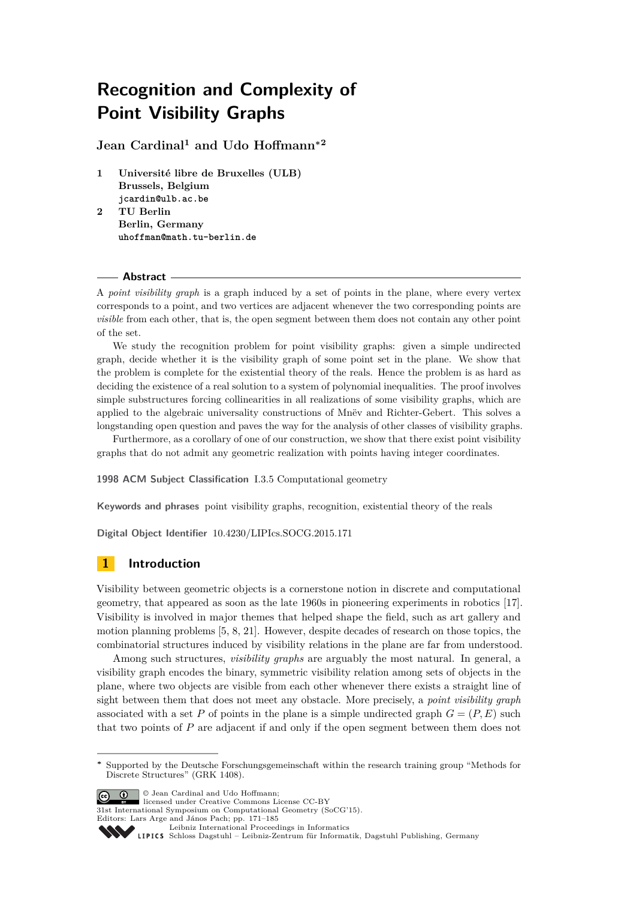**Jean Cardinal<sup>1</sup> and Udo Hoffmann<sup>∗</sup><sup>2</sup>**

- **1 Université libre de Bruxelles (ULB) Brussels, Belgium jcardin@ulb.ac.be**
- **2 TU Berlin Berlin, Germany uhoffman@math.tu-berlin.de**

#### **Abstract**

A *point visibility graph* is a graph induced by a set of points in the plane, where every vertex corresponds to a point, and two vertices are adjacent whenever the two corresponding points are *visible* from each other, that is, the open segment between them does not contain any other point of the set.

We study the recognition problem for point visibility graphs: given a simple undirected graph, decide whether it is the visibility graph of some point set in the plane. We show that the problem is complete for the existential theory of the reals. Hence the problem is as hard as deciding the existence of a real solution to a system of polynomial inequalities. The proof involves simple substructures forcing collinearities in all realizations of some visibility graphs, which are applied to the algebraic universality constructions of Mnëv and Richter-Gebert. This solves a longstanding open question and paves the way for the analysis of other classes of visibility graphs.

Furthermore, as a corollary of one of our construction, we show that there exist point visibility graphs that do not admit any geometric realization with points having integer coordinates.

**1998 ACM Subject Classification** I.3.5 Computational geometry

**Keywords and phrases** point visibility graphs, recognition, existential theory of the reals

**Digital Object Identifier** [10.4230/LIPIcs.SOCG.2015.171](http://dx.doi.org/10.4230/LIPIcs.SOCG.2015.171)

# **1 Introduction**

Visibility between geometric objects is a cornerstone notion in discrete and computational geometry, that appeared as soon as the late 1960s in pioneering experiments in robotics [\[17\]](#page-14-0). Visibility is involved in major themes that helped shape the field, such as art gallery and motion planning problems [\[5,](#page-13-0) [8,](#page-14-1) [21\]](#page-14-2). However, despite decades of research on those topics, the combinatorial structures induced by visibility relations in the plane are far from understood.

Among such structures, *visibility graphs* are arguably the most natural. In general, a visibility graph encodes the binary, symmetric visibility relation among sets of objects in the plane, where two objects are visible from each other whenever there exists a straight line of sight between them that does not meet any obstacle. More precisely, a *point visibility graph* associated with a set P of points in the plane is a simple undirected graph  $G = (P, E)$  such that two points of *P* are adjacent if and only if the open segment between them does not

© Jean Cardinal and Udo Hoffmann;

licensed under Creative Commons License CC-BY

31st International Symposium on Computational Geometry (SoCG'15).

Editors: Lars Arge and János Pach; pp. 171[–185](#page-14-3)

**<sup>∗</sup>** Supported by the Deutsche Forschungsgemeinschaft within the research training group "Methods for Discrete Structures" (GRK 1408).

[Leibniz International Proceedings in Informatics](http://www.dagstuhl.de/lipics/) [Schloss Dagstuhl – Leibniz-Zentrum für Informatik, Dagstuhl Publishing, Germany](http://www.dagstuhl.de)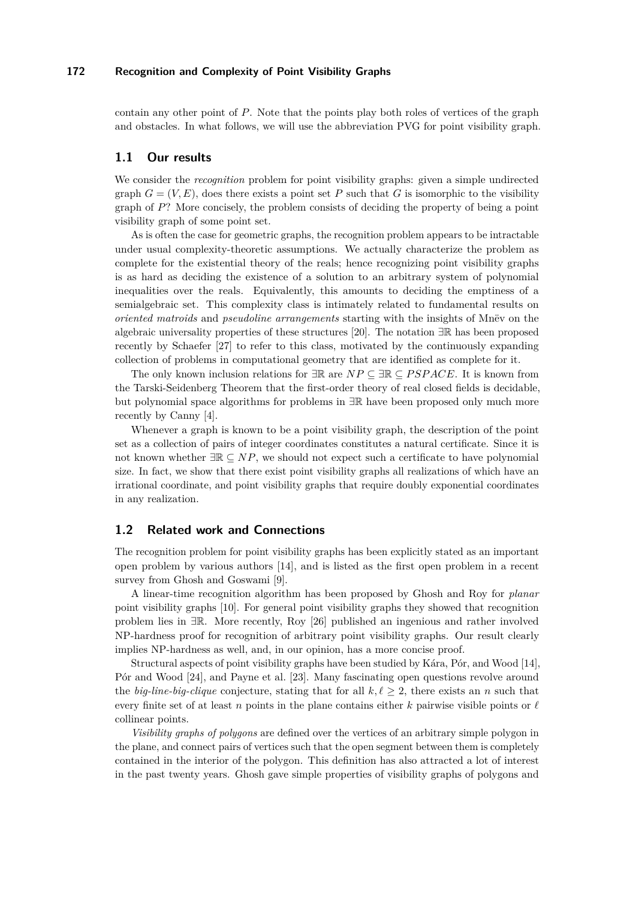contain any other point of *P*. Note that the points play both roles of vertices of the graph and obstacles. In what follows, we will use the abbreviation PVG for point visibility graph.

## **1.1 Our results**

We consider the *recognition* problem for point visibility graphs: given a simple undirected graph  $G = (V, E)$ , does there exists a point set P such that G is isomorphic to the visibility graph of *P*? More concisely, the problem consists of deciding the property of being a point visibility graph of some point set.

As is often the case for geometric graphs, the recognition problem appears to be intractable under usual complexity-theoretic assumptions. We actually characterize the problem as complete for the existential theory of the reals; hence recognizing point visibility graphs is as hard as deciding the existence of a solution to an arbitrary system of polynomial inequalities over the reals. Equivalently, this amounts to deciding the emptiness of a semialgebraic set. This complexity class is intimately related to fundamental results on *oriented matroids* and *pseudoline arrangements* starting with the insights of Mnëv on the algebraic universality properties of these structures [\[20\]](#page-14-4). The notation ∃R has been proposed recently by Schaefer [\[27\]](#page-14-5) to refer to this class, motivated by the continuously expanding collection of problems in computational geometry that are identified as complete for it.

The only known inclusion relations for ∃R are *NP* ⊆ ∃R ⊆ *P SP ACE*. It is known from the Tarski-Seidenberg Theorem that the first-order theory of real closed fields is decidable, but polynomial space algorithms for problems in ∃R have been proposed only much more recently by Canny [\[4\]](#page-13-1).

Whenever a graph is known to be a point visibility graph, the description of the point set as a collection of pairs of integer coordinates constitutes a natural certificate. Since it is not known whether  $\exists \mathbb{R} \subseteq NP$ , we should not expect such a certificate to have polynomial size. In fact, we show that there exist point visibility graphs all realizations of which have an irrational coordinate, and point visibility graphs that require doubly exponential coordinates in any realization.

## **1.2 Related work and Connections**

The recognition problem for point visibility graphs has been explicitly stated as an important open problem by various authors [\[14\]](#page-14-6), and is listed as the first open problem in a recent survey from Ghosh and Goswami [\[9\]](#page-14-7).

A linear-time recognition algorithm has been proposed by Ghosh and Roy for *planar* point visibility graphs [\[10\]](#page-14-8). For general point visibility graphs they showed that recognition problem lies in ∃R. More recently, Roy [\[26\]](#page-14-9) published an ingenious and rather involved NP-hardness proof for recognition of arbitrary point visibility graphs. Our result clearly implies NP-hardness as well, and, in our opinion, has a more concise proof.

Structural aspects of point visibility graphs have been studied by Kára, Pór, and Wood [\[14\]](#page-14-6), Pór and Wood [\[24\]](#page-14-10), and Payne et al. [\[23\]](#page-14-11). Many fascinating open questions revolve around the *big-line-big-clique* conjecture, stating that for all  $k, \ell \geq 2$ , there exists an *n* such that every finite set of at least *n* points in the plane contains either *k* pairwise visible points or  $\ell$ collinear points.

*Visibility graphs of polygons* are defined over the vertices of an arbitrary simple polygon in the plane, and connect pairs of vertices such that the open segment between them is completely contained in the interior of the polygon. This definition has also attracted a lot of interest in the past twenty years. Ghosh gave simple properties of visibility graphs of polygons and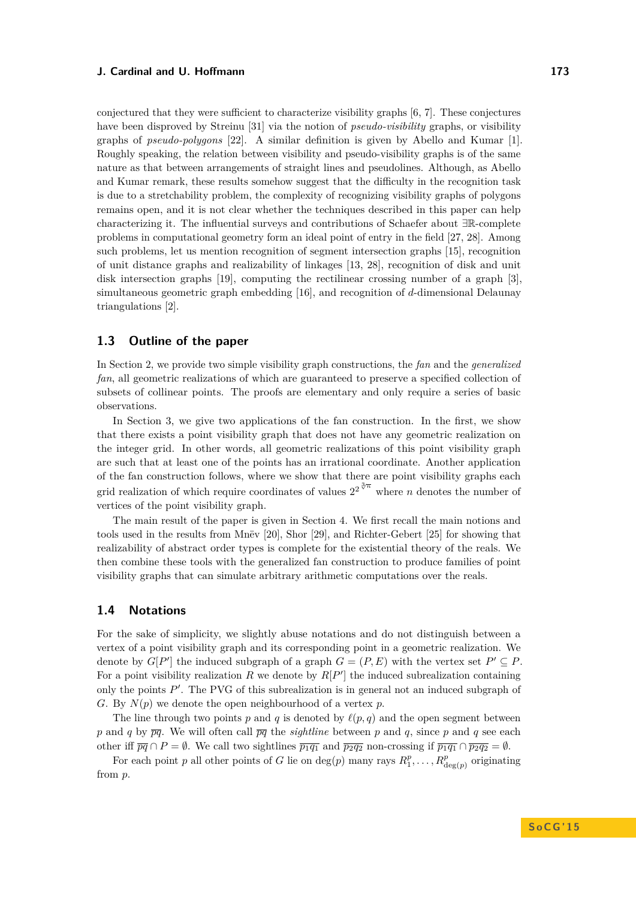conjectured that they were sufficient to characterize visibility graphs [\[6,](#page-14-12) [7\]](#page-14-13). These conjectures have been disproved by Streinu [\[31\]](#page-14-14) via the notion of *pseudo-visibility* graphs, or visibility graphs of *pseudo-polygons* [\[22\]](#page-14-15). A similar definition is given by Abello and Kumar [\[1\]](#page-13-2). Roughly speaking, the relation between visibility and pseudo-visibility graphs is of the same nature as that between arrangements of straight lines and pseudolines. Although, as Abello and Kumar remark, these results somehow suggest that the difficulty in the recognition task is due to a stretchability problem, the complexity of recognizing visibility graphs of polygons remains open, and it is not clear whether the techniques described in this paper can help characterizing it. The influential surveys and contributions of Schaefer about ∃R-complete problems in computational geometry form an ideal point of entry in the field [\[27,](#page-14-5) [28\]](#page-14-16). Among such problems, let us mention recognition of segment intersection graphs [\[15\]](#page-14-17), recognition of unit distance graphs and realizability of linkages [\[13,](#page-14-18) [28\]](#page-14-16), recognition of disk and unit disk intersection graphs [\[19\]](#page-14-19), computing the rectilinear crossing number of a graph [\[3\]](#page-13-3), simultaneous geometric graph embedding [\[16\]](#page-14-20), and recognition of *d*-dimensional Delaunay triangulations [\[2\]](#page-13-4).

## **1.3 Outline of the paper**

In Section [2,](#page-3-0) we provide two simple visibility graph constructions, the *fan* and the *generalized fan*, all geometric realizations of which are guaranteed to preserve a specified collection of subsets of collinear points. The proofs are elementary and only require a series of basic observations.

In Section [3,](#page-8-0) we give two applications of the fan construction. In the first, we show that there exists a point visibility graph that does not have any geometric realization on the integer grid. In other words, all geometric realizations of this point visibility graph are such that at least one of the points has an irrational coordinate. Another application of the fan construction follows, where we show that there are point visibility graphs each grid realization of which require coordinates of values  $2^{2^{\sqrt[3]{n}}}$  where *n* denotes the number of vertices of the point visibility graph.

The main result of the paper is given in Section [4.](#page-9-0) We first recall the main notions and tools used in the results from Mnëv [\[20\]](#page-14-4), Shor [\[29\]](#page-14-21), and Richter-Gebert [\[25\]](#page-14-22) for showing that realizability of abstract order types is complete for the existential theory of the reals. We then combine these tools with the generalized fan construction to produce families of point visibility graphs that can simulate arbitrary arithmetic computations over the reals.

## **1.4 Notations**

For the sake of simplicity, we slightly abuse notations and do not distinguish between a vertex of a point visibility graph and its corresponding point in a geometric realization. We denote by  $G[P']$  the induced subgraph of a graph  $G = (P, E)$  with the vertex set  $P' \subseteq P$ . For a point visibility realization  $R$  we denote by  $R[P']$  the induced subrealization containing only the points  $P'$ . The PVG of this subrealization is in general not an induced subgraph of *G*. By *N*(*p*) we denote the open neighbourhood of a vertex *p*.

The line through two points p and q is denoted by  $\ell(p,q)$  and the open segment between *p* and *q* by  $\overline{pq}$ . We will often call  $\overline{pq}$  the *sightline* between *p* and *q*, since *p* and *q* see each other iff  $\overline{pq} \cap P = \emptyset$ . We call two sightlines  $\overline{p_1q_1}$  and  $\overline{p_2q_2}$  non-crossing if  $\overline{p_1q_1} \cap \overline{p_2q_2} = \emptyset$ .

For each point *p* all other points of *G* lie on  $deg(p)$  many rays  $R_1^p, \ldots, R_{deg(p)}^p$  originating from *p*.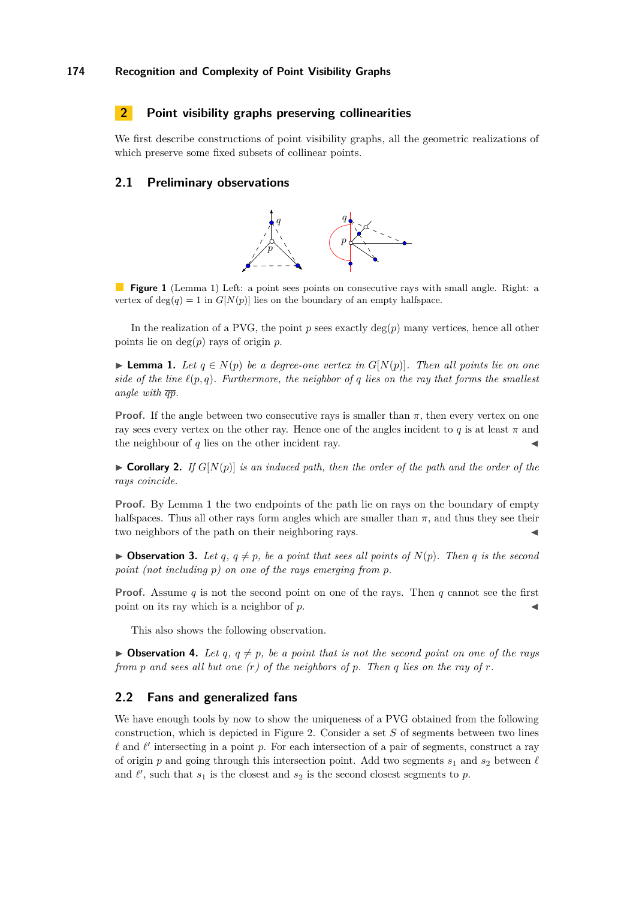# <span id="page-3-0"></span>**2 Point visibility graphs preserving collinearities**

We first describe constructions of point visibility graphs, all the geometric realizations of which preserve some fixed subsets of collinear points.

## **2.1 Preliminary observations**



**Figure 1** (Lemma [1\)](#page-3-1) Left: a point sees points on consecutive rays with small angle. Right: a vertex of  $deg(q) = 1$  in  $G[N(p)]$  lies on the boundary of an empty halfspace.

In the realization of a PVG, the point  $p$  sees exactly  $\deg(p)$  many vertices, hence all other points lie on deg(*p*) rays of origin *p*.

<span id="page-3-1"></span>► **Lemma 1.** Let  $q \in N(p)$  be a degree-one vertex in  $G[N(p)]$ . Then all points lie on one *side of the line*  $\ell(p,q)$ *. Furthermore, the neighbor of q lies on the ray that forms the smallest angle with qp.*

**Proof.** If the angle between two consecutive rays is smaller than  $\pi$ , then every vertex on one ray sees every vertex on the other ray. Hence one of the angles incident to  $q$  is at least  $\pi$  and the neighbour of  $q$  lies on the other incident ray.

<span id="page-3-4"></span> $\triangleright$  **Corollary 2.** If  $G[N(p)]$  is an induced path, then the order of the path and the order of the *rays coincide.*

**Proof.** By Lemma [1](#page-3-1) the two endpoints of the path lie on rays on the boundary of empty halfspaces. Thus all other rays form angles which are smaller than  $\pi$ , and thus they see their two neighbors of the path on their neighboring rays.

<span id="page-3-2"></span> $\triangleright$  **Observation 3.** Let  $q, q \neq p$ , be a point that sees all points of  $N(p)$ . Then q is the second *point (not including p) on one of the rays emerging from p.*

**Proof.** Assume *q* is not the second point on one of the rays. Then *q* cannot see the first point on its ray which is a neighbor of p.

This also shows the following observation.

<span id="page-3-3"></span> $\triangleright$  **Observation 4.** Let  $q, q \neq p$ , be a point that is not the second point on one of the rays *from p and sees all but one (r) of the neighbors of p. Then q lies on the ray of r.*

## **2.2 Fans and generalized fans**

We have enough tools by now to show the uniqueness of a PVG obtained from the following construction, which is depicted in Figure [2.](#page-4-0) Consider a set *S* of segments between two lines  $\ell$  and  $\ell'$  intersecting in a point  $p$ . For each intersection of a pair of segments, construct a ray of origin *p* and going through this intersection point. Add two segments  $s_1$  and  $s_2$  between  $\ell$ and  $\ell'$ , such that  $s_1$  is the closest and  $s_2$  is the second closest segments to  $p$ .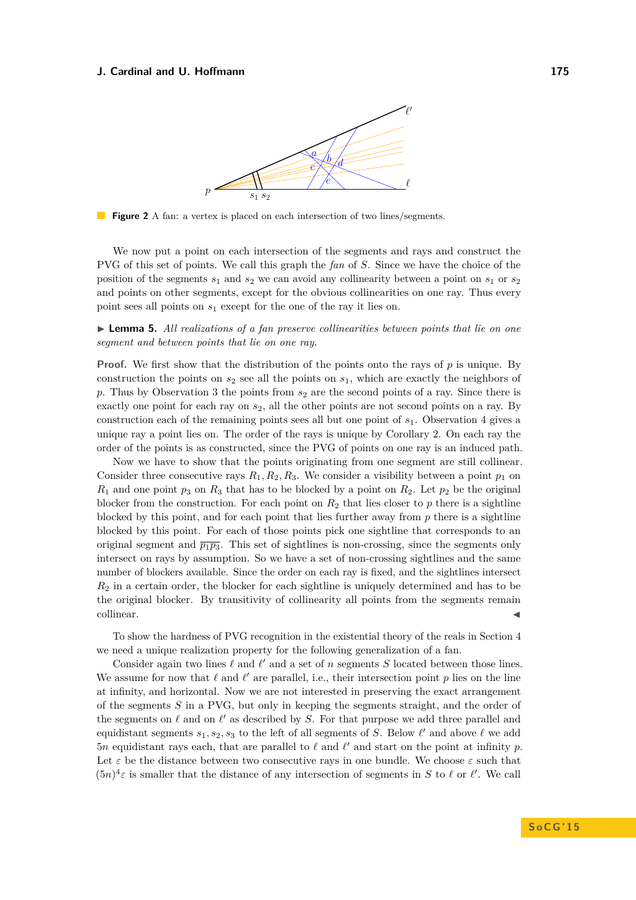<span id="page-4-0"></span>

**Figure 2** A fan: a vertex is placed on each intersection of two lines/segments.

We now put a point on each intersection of the segments and rays and construct the PVG of this set of points. We call this graph the *fan* of *S*. Since we have the choice of the position of the segments  $s_1$  and  $s_2$  we can avoid any collinearity between a point on  $s_1$  or  $s_2$ and points on other segments, except for the obvious collinearities on one ray. Thus every point sees all points on *s*<sup>1</sup> except for the one of the ray it lies on.

<span id="page-4-1"></span>► **Lemma 5.** All realizations of a fan preserve collinearities between points that lie on one *segment and between points that lie on one ray.*

**Proof.** We first show that the distribution of the points onto the rays of *p* is unique. By construction the points on  $s_2$  see all the points on  $s_1$ , which are exactly the neighbors of *p*. Thus by Observation [3](#page-3-2) the points from *s*<sup>2</sup> are the second points of a ray. Since there is exactly one point for each ray on *s*2, all the other points are not second points on a ray. By construction each of the remaining points sees all but one point of *s*1. Observation [4](#page-3-3) gives a unique ray a point lies on. The order of the rays is unique by Corollary [2.](#page-3-4) On each ray the order of the points is as constructed, since the PVG of points on one ray is an induced path.

Now we have to show that the points originating from one segment are still collinear. Consider three consecutive rays  $R_1, R_2, R_3$ . We consider a visibility between a point  $p_1$  on  $R_1$  and one point  $p_3$  on  $R_3$  that has to be blocked by a point on  $R_2$ . Let  $p_2$  be the original blocker from the construction. For each point on  $R_2$  that lies closer to  $p$  there is a sightline blocked by this point, and for each point that lies further away from *p* there is a sightline blocked by this point. For each of those points pick one sightline that corresponds to an original segment and  $\overline{p_1p_3}$ . This set of sightlines is non-crossing, since the segments only intersect on rays by assumption. So we have a set of non-crossing sightlines and the same number of blockers available. Since the order on each ray is fixed, and the sightlines intersect *R*<sup>2</sup> in a certain order, the blocker for each sightline is uniquely determined and has to be the original blocker. By transitivity of collinearity all points from the segments remain  $\blacksquare$ collinear.

To show the hardness of PVG recognition in the existential theory of the reals in Section [4](#page-9-0) we need a unique realization property for the following generalization of a fan.

Consider again two lines  $\ell$  and  $\ell'$  and a set of  $n$  segments  $S$  located between those lines. We assume for now that  $\ell$  and  $\ell'$  are parallel, i.e., their intersection point  $p$  lies on the line at infinity, and horizontal. Now we are not interested in preserving the exact arrangement of the segments *S* in a PVG, but only in keeping the segments straight, and the order of the segments on  $\ell$  and on  $\ell'$  as described by  $S$ . For that purpose we add three parallel and equidistant segments  $s_1, s_2, s_3$  to the left of all segments of *S*. Below  $\ell'$  and above  $\ell$  we add 5*n* equidistant rays each, that are parallel to  $\ell$  and  $\ell'$  and start on the point at infinity  $p$ . Let  $\varepsilon$  be the distance between two consecutive rays in one bundle. We choose  $\varepsilon$  such that  $(5n)^4$ *ε* is smaller that the distance of any intersection of segments in *S* to  $\ell$  or  $\ell'$ . We call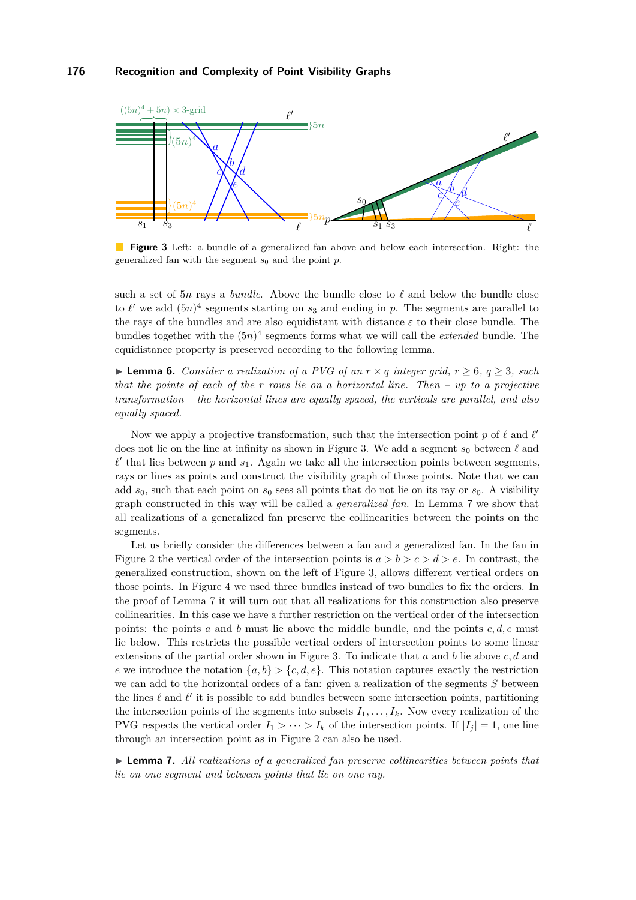<span id="page-5-0"></span>

**Figure 3** Left: a bundle of a generalized fan above and below each intersection. Right: the generalized fan with the segment  $s_0$  and the point  $p$ .

such a set of 5*n* rays a *bundle*. Above the bundle close to  $\ell$  and below the bundle close to  $\ell'$  we add  $(5n)^4$  segments starting on  $s_3$  and ending in p. The segments are parallel to the rays of the bundles and are also equidistant with distance *ε* to their close bundle. The bundles together with the (5*n*) 4 segments forms what we will call the *extended* bundle. The equidistance property is preserved according to the following lemma.

<span id="page-5-2"></span>▶ **Lemma 6.** *Consider a realization of a PVG of an*  $r \times q$  *integer grid,*  $r > 6$ ,  $q > 3$ *, such that the points of each of the r rows lie on a horizontal line. Then – up to a projective transformation – the horizontal lines are equally spaced, the verticals are parallel, and also equally spaced.*

Now we apply a projective transformation, such that the intersection point  $p$  of  $\ell$  and  $\ell'$ does not lie on the line at infinity as shown in Figure [3.](#page-5-0) We add a segment  $s_0$  between  $\ell$  and  $\ell'$  that lies between  $p$  and  $s_1$ . Again we take all the intersection points between segments, rays or lines as points and construct the visibility graph of those points. Note that we can add  $s_0$ , such that each point on  $s_0$  sees all points that do not lie on its ray or  $s_0$ . A visibility graph constructed in this way will be called a *generalized fan*. In Lemma [7](#page-5-1) we show that all realizations of a generalized fan preserve the collinearities between the points on the segments.

Let us briefly consider the differences between a fan and a generalized fan. In the fan in Figure [2](#page-4-0) the vertical order of the intersection points is  $a > b > c > d > e$ . In contrast, the generalized construction, shown on the left of Figure [3,](#page-5-0) allows different vertical orders on those points. In Figure [4](#page-6-0) we used three bundles instead of two bundles to fix the orders. In the proof of Lemma [7](#page-5-1) it will turn out that all realizations for this construction also preserve collinearities. In this case we have a further restriction on the vertical order of the intersection points: the points *a* and *b* must lie above the middle bundle, and the points *c, d, e* must lie below. This restricts the possible vertical orders of intersection points to some linear extensions of the partial order shown in Figure [3.](#page-5-0) To indicate that *a* and *b* lie above *c, d* and *e* we introduce the notation  $\{a, b\} > \{c, d, e\}$ . This notation captures exactly the restriction we can add to the horizontal orders of a fan: given a realization of the segments *S* between the lines  $\ell$  and  $\ell'$  it is possible to add bundles between some intersection points, partitioning the intersection points of the segments into subsets  $I_1, \ldots, I_k$ . Now every realization of the PVG respects the vertical order  $I_1 > \cdots > I_k$  of the intersection points. If  $|I_j| = 1$ , one line through an intersection point as in Figure [2](#page-4-0) can also be used.

<span id="page-5-1"></span>► **Lemma 7.** All realizations of a generalized fan preserve collinearities between points that *lie on one segment and between points that lie on one ray.*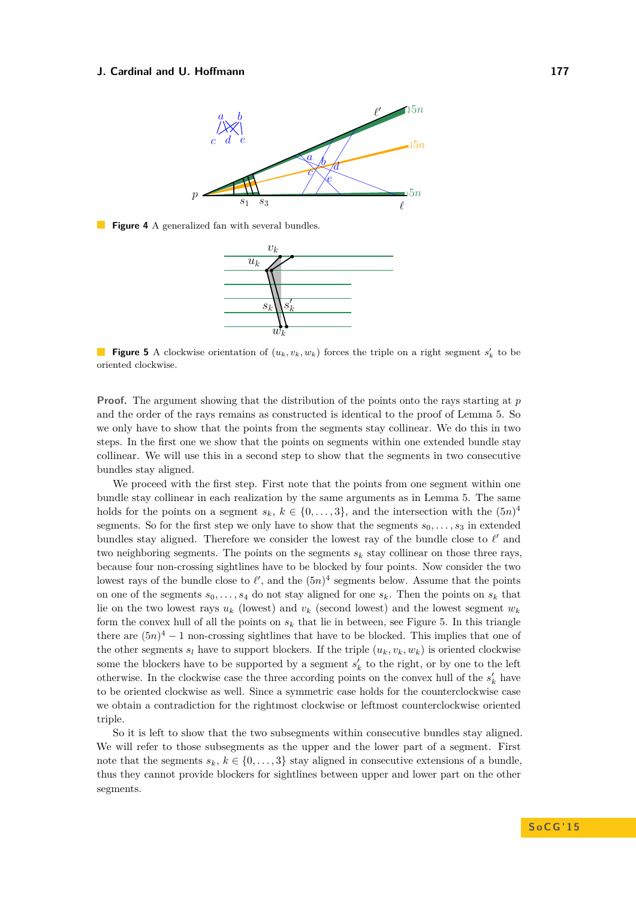<span id="page-6-0"></span>

<span id="page-6-1"></span>**Figure 4** A generalized fan with several bundles.



**Figure 5** A clockwise orientation of  $(u_k, v_k, w_k)$  forces the triple on a right segment  $s'_k$  to be oriented clockwise.

**Proof.** The argument showing that the distribution of the points onto the rays starting at *p* and the order of the rays remains as constructed is identical to the proof of Lemma [5.](#page-4-1) So we only have to show that the points from the segments stay collinear. We do this in two steps. In the first one we show that the points on segments within one extended bundle stay collinear. We will use this in a second step to show that the segments in two consecutive bundles stay aligned.

We proceed with the first step. First note that the points from one segment within one bundle stay collinear in each realization by the same arguments as in Lemma [5.](#page-4-1) The same holds for the points on a segment  $s_k, k \in \{0, \ldots, 3\}$ , and the intersection with the  $(5n)^4$ segments. So for the first step we only have to show that the segments  $s_0, \ldots, s_3$  in extended bundles stay aligned. Therefore we consider the lowest ray of the bundle close to  $\ell'$  and two neighboring segments. The points on the segments  $s_k$  stay collinear on those three rays, because four non-crossing sightlines have to be blocked by four points. Now consider the two lowest rays of the bundle close to  $\ell'$ , and the  $(5n)^4$  segments below. Assume that the points on one of the segments  $s_0, \ldots, s_4$  do not stay aligned for one  $s_k$ . Then the points on  $s_k$  that lie on the two lowest rays  $u_k$  (lowest) and  $v_k$  (second lowest) and the lowest segment  $w_k$ form the convex hull of all the points on  $s_k$  that lie in between, see Figure [5.](#page-6-1) In this triangle there are  $(5n)^4 - 1$  non-crossing sightlines that have to be blocked. This implies that one of the other segments  $s_l$  have to support blockers. If the triple  $(u_k, v_k, w_k)$  is oriented clockwise some the blockers have to be supported by a segment  $s'_{k}$  to the right, or by one to the left otherwise. In the clockwise case the three according points on the convex hull of the  $s'_{k}$  have to be oriented clockwise as well. Since a symmetric case holds for the counterclockwise case we obtain a contradiction for the rightmost clockwise or leftmost counterclockwise oriented triple.

So it is left to show that the two subsegments within consecutive bundles stay aligned. We will refer to those subsegments as the upper and the lower part of a segment. First note that the segments  $s_k$ ,  $k \in \{0, \ldots, 3\}$  stay aligned in consecutive extensions of a bundle, thus they cannot provide blockers for sightlines between upper and lower part on the other segments.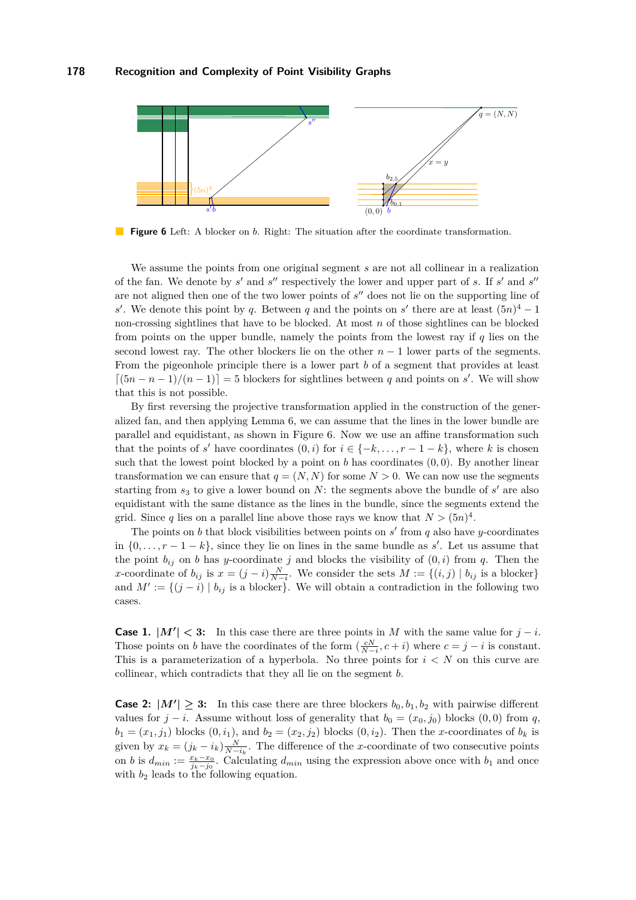<span id="page-7-0"></span>

**Figure 6** Left: A blocker on *b*. Right: The situation after the coordinate transformation.

We assume the points from one original segment *s* are not all collinear in a realization of the fan. We denote by *s'* and *s''* respectively the lower and upper part of *s*. If *s'* and *s''* are not aligned then one of the two lower points of  $s''$  does not lie on the supporting line of s'. We denote this point by q. Between q and the points on s' there are at least  $(5n)^4 - 1$ non-crossing sightlines that have to be blocked. At most *n* of those sightlines can be blocked from points on the upper bundle, namely the points from the lowest ray if *q* lies on the second lowest ray. The other blockers lie on the other  $n-1$  lower parts of the segments. From the pigeonhole principle there is a lower part *b* of a segment that provides at least  $\lfloor (5n - n - 1)/(n - 1) \rfloor = 5$  blockers for sightlines between *q* and points on *s'*. We will show that this is not possible.

By first reversing the projective transformation applied in the construction of the generalized fan, and then applying Lemma [6,](#page-5-2) we can assume that the lines in the lower bundle are parallel and equidistant, as shown in Figure [6.](#page-7-0) Now we use an affine transformation such that the points of *s*' have coordinates  $(0, i)$  for  $i \in \{-k, \ldots, r - 1 - k\}$ , where *k* is chosen such that the lowest point blocked by a point on  $b$  has coordinates  $(0,0)$ . By another linear transformation we can ensure that  $q = (N, N)$  for some  $N > 0$ . We can now use the segments starting from  $s_3$  to give a lower bound on  $N$ : the segments above the bundle of  $s'$  are also equidistant with the same distance as the lines in the bundle, since the segments extend the grid. Since q lies on a parallel line above those rays we know that  $N > (5n)^4$ .

The points on  $b$  that block visibilities between points on  $s'$  from  $q$  also have *y*-coordinates in  $\{0, \ldots, r-1-k\}$ , since they lie on lines in the same bundle as *s'*. Let us assume that the point  $b_{ij}$  on *b* has *y*-coordinate *j* and blocks the visibility of  $(0, i)$  from *q*. Then the *x*-coordinate of  $b_{ij}$  is  $x = (j - i) \frac{N}{N-i}$ . We consider the sets  $M := \{(i, j) | b_{ij} \text{ is a blocker}\}\$ and  $M' := \{(j - i) | b_{ij} \text{ is a blocker}\}\.$  We will obtain a contradiction in the following two cases.

**Case 1.**  $|M'| < 3$ : In this case there are three points in *M* with the same value for  $j - i$ . Those points on *b* have the coordinates of the form  $(\frac{cN}{N-i}, c+i)$  where  $c = j - i$  is constant. This is a parameterization of a hyperbola. No three points for  $i < N$  on this curve are collinear, which contradicts that they all lie on the segment *b*.

**Case 2:**  $|M'| \geq 3$ : In this case there are three blockers  $b_0, b_1, b_2$  with pairwise different values for  $j - i$ . Assume without loss of generality that  $b_0 = (x_0, j_0)$  blocks  $(0, 0)$  from  $q$ ,  $b_1 = (x_1, j_1)$  blocks  $(0, i_1)$ , and  $b_2 = (x_2, j_2)$  blocks  $(0, i_2)$ . Then the *x*-coordinates of  $b_k$  is given by  $x_k = (j_k - i_k) \frac{N}{N - i_k}$ . The difference of the *x*-coordinate of two consecutive points on *b* is  $d_{min} := \frac{x_k - x_0}{j_k - j_0}$ . Calculating  $d_{min}$  using the expression above once with  $b_1$  and once with  $b_2$  leads to the following equation.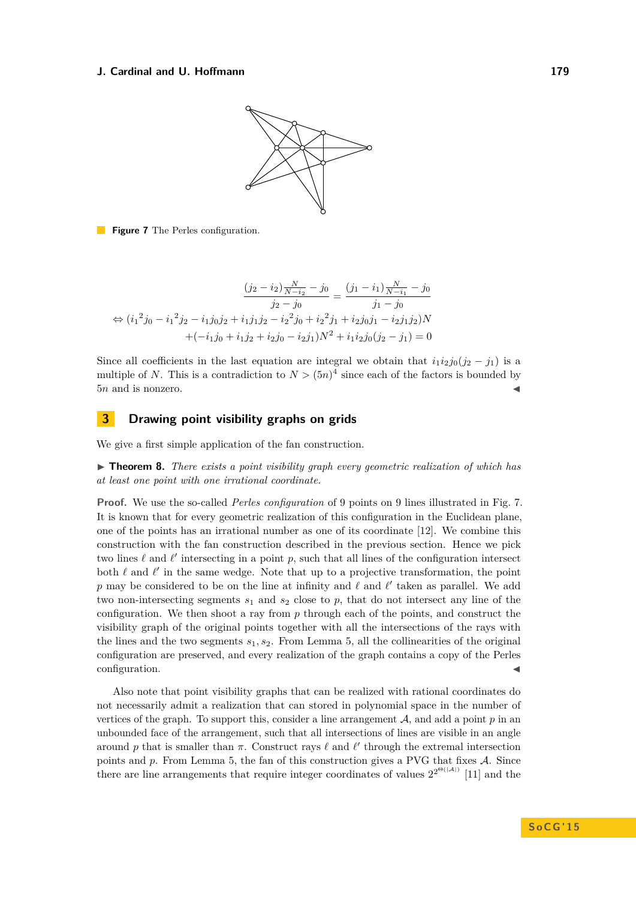

<span id="page-8-1"></span>**Figure 7** The Perles configuration.

$$
\frac{(j_2 - i_2)\frac{N}{N - i_2} - j_0}{j_2 - j_0} = \frac{(j_1 - i_1)\frac{N}{N - i_1} - j_0}{j_1 - j_0}
$$
  
\n
$$
\Leftrightarrow (i_1^2 j_0 - i_1^2 j_2 - i_1 j_0 j_2 + i_1 j_1 j_2 - i_2^2 j_0 + i_2^2 j_1 + i_2 j_0 j_1 - i_2 j_1 j_2)N
$$
  
\n
$$
+ (-i_1 j_0 + i_1 j_2 + i_2 j_0 - i_2 j_1)N^2 + i_1 i_2 j_0 (j_2 - j_1) = 0
$$

Since all coefficients in the last equation are integral we obtain that  $i_1i_2j_0(j_2 - j_1)$  is a multiple of *N*. This is a contradiction to  $N > (5n)^4$  since each of the factors is bounded by  $5n$  and is nonzero.

## <span id="page-8-0"></span>**3 Drawing point visibility graphs on grids**

We give a first simple application of the fan construction.

► **Theorem 8.** *There exists a point visibility graph every geometric realization of which has at least one point with one irrational coordinate.*

**Proof.** We use the so-called *Perles configuration* of 9 points on 9 lines illustrated in Fig. [7.](#page-8-1) It is known that for every geometric realization of this configuration in the Euclidean plane, one of the points has an irrational number as one of its coordinate [\[12\]](#page-14-23). We combine this construction with the fan construction described in the previous section. Hence we pick two lines  $\ell$  and  $\ell'$  intersecting in a point  $p$ , such that all lines of the configuration intersect both  $\ell$  and  $\ell'$  in the same wedge. Note that up to a projective transformation, the point p may be considered to be on the line at infinity and  $\ell$  and  $\ell'$  taken as parallel. We add two non-intersecting segments  $s_1$  and  $s_2$  close to  $p$ , that do not intersect any line of the configuration. We then shoot a ray from *p* through each of the points, and construct the visibility graph of the original points together with all the intersections of the rays with the lines and the two segments  $s_1, s_2$ . From Lemma [5,](#page-4-1) all the collinearities of the original configuration are preserved, and every realization of the graph contains a copy of the Perles configuration.

Also note that point visibility graphs that can be realized with rational coordinates do not necessarily admit a realization that can stored in polynomial space in the number of vertices of the graph. To support this, consider a line arrangement  $A$ , and add a point  $p$  in an unbounded face of the arrangement, such that all intersections of lines are visible in an angle around *p* that is smaller than  $\pi$ . Construct rays  $\ell$  and  $\ell'$  through the extremal intersection points and *p*. From Lemma [5,](#page-4-1) the fan of this construction gives a PVG that fixes A. Since there are line arrangements that require integer coordinates of values  $2^{2^{\Theta(|\mathcal{A}|)}}$  [\[11\]](#page-14-24) and the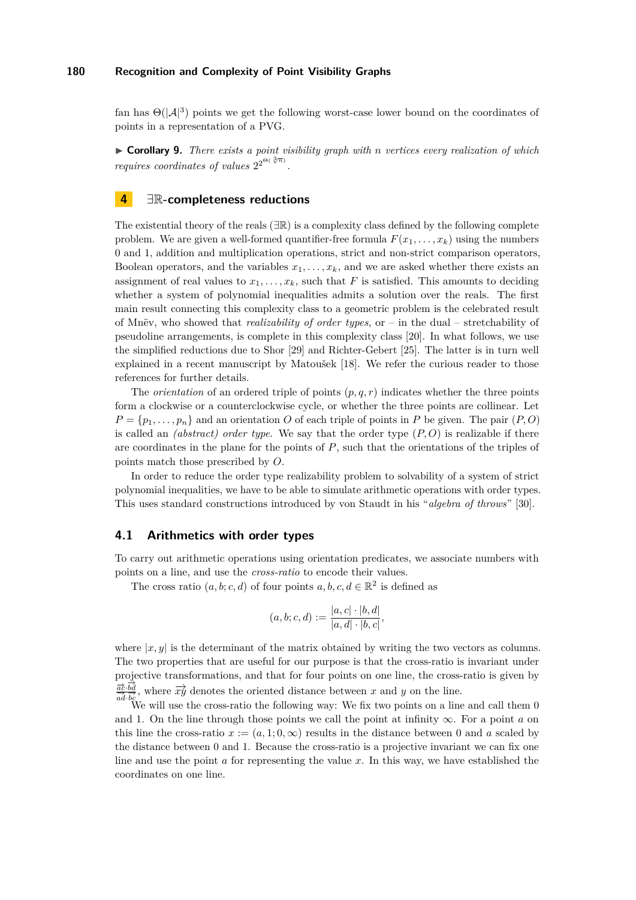fan has  $\Theta(|\mathcal{A}|^3)$  points we get the following worst-case lower bound on the coordinates of points in a representation of a PVG.

▶ **Corollary 9.** *There exists a point visibility graph with n* vertices every realization of which *requires coordinates of values*  $2^{2^{\Theta(\sqrt[3]{n})}}$ .

## <span id="page-9-0"></span>**4** ∃R**-completeness reductions**

The existential theory of the reals  $(\exists \mathbb{R})$  is a complexity class defined by the following complete problem. We are given a well-formed quantifier-free formula  $F(x_1, \ldots, x_k)$  using the numbers 0 and 1, addition and multiplication operations, strict and non-strict comparison operators, Boolean operators, and the variables  $x_1, \ldots, x_k$ , and we are asked whether there exists an assignment of real values to  $x_1, \ldots, x_k$ , such that F is satisfied. This amounts to deciding whether a system of polynomial inequalities admits a solution over the reals. The first main result connecting this complexity class to a geometric problem is the celebrated result of Mnëv, who showed that *realizability of order types*, or – in the dual – stretchability of pseudoline arrangements, is complete in this complexity class [\[20\]](#page-14-4). In what follows, we use the simplified reductions due to Shor [\[29\]](#page-14-21) and Richter-Gebert [\[25\]](#page-14-22). The latter is in turn well explained in a recent manuscript by Matoušek [\[18\]](#page-14-25). We refer the curious reader to those references for further details.

The *orientation* of an ordered triple of points  $(p, q, r)$  indicates whether the three points form a clockwise or a counterclockwise cycle, or whether the three points are collinear. Let  $P = \{p_1, \ldots, p_n\}$  and an orientation *O* of each triple of points in *P* be given. The pair  $(P, O)$ is called an *(abstract) order type*. We say that the order type  $(P, O)$  is realizable if there are coordinates in the plane for the points of *P*, such that the orientations of the triples of points match those prescribed by *O*.

In order to reduce the order type realizability problem to solvability of a system of strict polynomial inequalities, we have to be able to simulate arithmetic operations with order types. This uses standard constructions introduced by von Staudt in his "*algebra of throws*" [\[30\]](#page-14-26).

## <span id="page-9-1"></span>**4.1 Arithmetics with order types**

To carry out arithmetic operations using orientation predicates, we associate numbers with points on a line, and use the *cross-ratio* to encode their values.

The cross ratio  $(a, b; c, d)$  of four points  $a, b, c, d \in \mathbb{R}^2$  is defined as

$$
(a, b; c, d) := \frac{|a, c| \cdot |b, d|}{|a, d| \cdot |b, c|},
$$

where  $|x, y|$  is the determinant of the matrix obtained by writing the two vectors as columns. The two properties that are useful for our purpose is that the cross-ratio is invariant under projective transformations, and that for four points on one line, the cross-ratio is given by  $\frac{a^2 \cdot b^2}{\sigma^2}$ , where  $\overrightarrow{xy}$  denotes the oriented distance between *x* and *y* on the line.  $\frac{a}{ad} \cdot \frac{b}{bc}$ 

We will use the cross-ratio the following way: We fix two points on a line and call them 0 and 1. On the line through those points we call the point at infinity  $\infty$ . For a point *a* on this line the cross-ratio  $x := (a, 1; 0, \infty)$  results in the distance between 0 and a scaled by the distance between 0 and 1. Because the cross-ratio is a projective invariant we can fix one line and use the point *a* for representing the value *x*. In this way, we have established the coordinates on one line.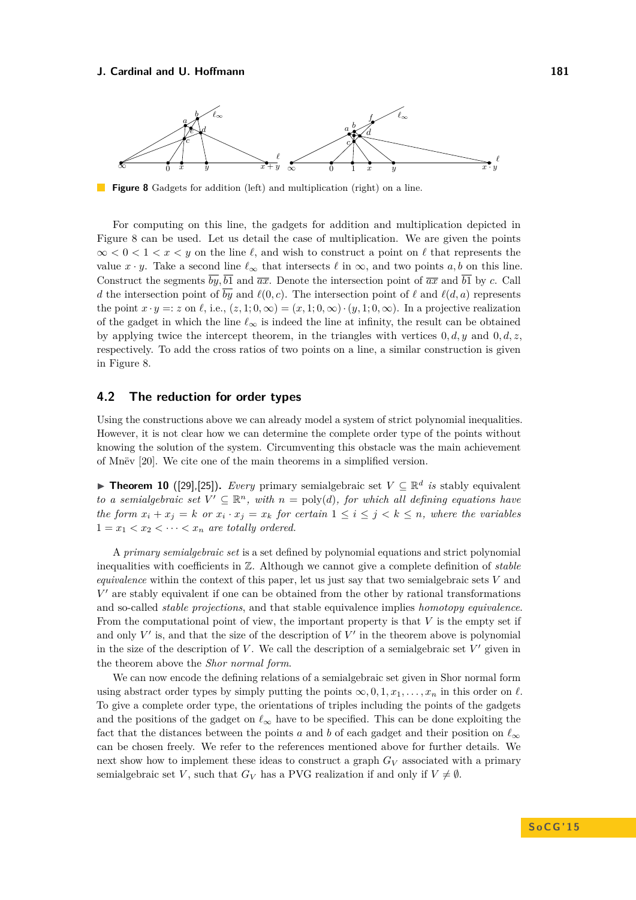<span id="page-10-0"></span>

**Figure 8** Gadgets for addition (left) and multiplication (right) on a line.

For computing on this line, the gadgets for addition and multiplication depicted in Figure [8](#page-10-0) can be used. Let us detail the case of multiplication. We are given the points  $\infty < 0 < 1 < x < y$  on the line  $\ell$ , and wish to construct a point on  $\ell$  that represents the value *x* · *y*. Take a second line  $\ell_{\infty}$  that intersects  $\ell$  in  $\infty$ , and two points *a, b* on this line. Construct the segments  $\overline{by}$ ,  $\overline{b1}$  and  $\overline{ax}$ . Denote the intersection point of  $\overline{ax}$  and  $\overline{b1}$  by *c*. Call *d* the intersection point of  $\overline{b}y$  and  $\ell(0, c)$ . The intersection point of  $\ell$  and  $\ell(d, a)$  represents the point  $x \cdot y =: z$  on  $\ell$ , i.e.,  $(z, 1; 0, \infty) = (x, 1; 0, \infty) \cdot (y, 1; 0, \infty)$ . In a projective realization of the gadget in which the line  $\ell_{\infty}$  is indeed the line at infinity, the result can be obtained by applying twice the intercept theorem, in the triangles with vertices  $0, d, y$  and  $0, d, z$ , respectively. To add the cross ratios of two points on a line, a similar construction is given in Figure [8.](#page-10-0)

# **4.2 The reduction for order types**

Using the constructions above we can already model a system of strict polynomial inequalities. However, it is not clear how we can determine the complete order type of the points without knowing the solution of the system. Circumventing this obstacle was the main achievement of Mnëv [\[20\]](#page-14-4). We cite one of the main theorems in a simplified version.

▶ **Theorem 10** ([\[29\]](#page-14-21),[\[25\]](#page-14-22)). *Every* primary semialgebraic set  $V \subseteq \mathbb{R}^d$  *is* stably equivalent *to a semialgebraic set*  $V' \subseteq \mathbb{R}^n$ *, with*  $n = \text{poly}(d)$ *, for which all defining equations have the form*  $x_i + x_j = k$  *or*  $x_i \cdot x_j = x_k$  *for certain*  $1 \leq i \leq j \leq k \leq n$ *, where the variables*  $1 = x_1 < x_2 < \cdots < x_n$  are totally ordered.

A *primary semialgebraic set* is a set defined by polynomial equations and strict polynomial inequalities with coefficients in Z. Although we cannot give a complete definition of *stable equivalence* within the context of this paper, let us just say that two semialgebraic sets *V* and  $V'$  are stably equivalent if one can be obtained from the other by rational transformations and so-called *stable projections*, and that stable equivalence implies *homotopy equivalence*. From the computational point of view, the important property is that *V* is the empty set if and only  $V'$  is, and that the size of the description of  $V'$  in the theorem above is polynomial in the size of the description of  $V$ . We call the description of a semialgebraic set  $V'$  given in the theorem above the *Shor normal form*.

We can now encode the defining relations of a semialgebraic set given in Shor normal form using abstract order types by simply putting the points  $\infty, 0, 1, x_1, \ldots, x_n$  in this order on  $\ell$ . To give a complete order type, the orientations of triples including the points of the gadgets and the positions of the gadget on  $\ell_{\infty}$  have to be specified. This can be done exploiting the fact that the distances between the points *a* and *b* of each gadget and their position on  $\ell_{\infty}$ can be chosen freely. We refer to the references mentioned above for further details. We next show how to implement these ideas to construct a graph *G<sup>V</sup>* associated with a primary semialgebraic set *V*, such that  $G_V$  has a PVG realization if and only if  $V \neq \emptyset$ .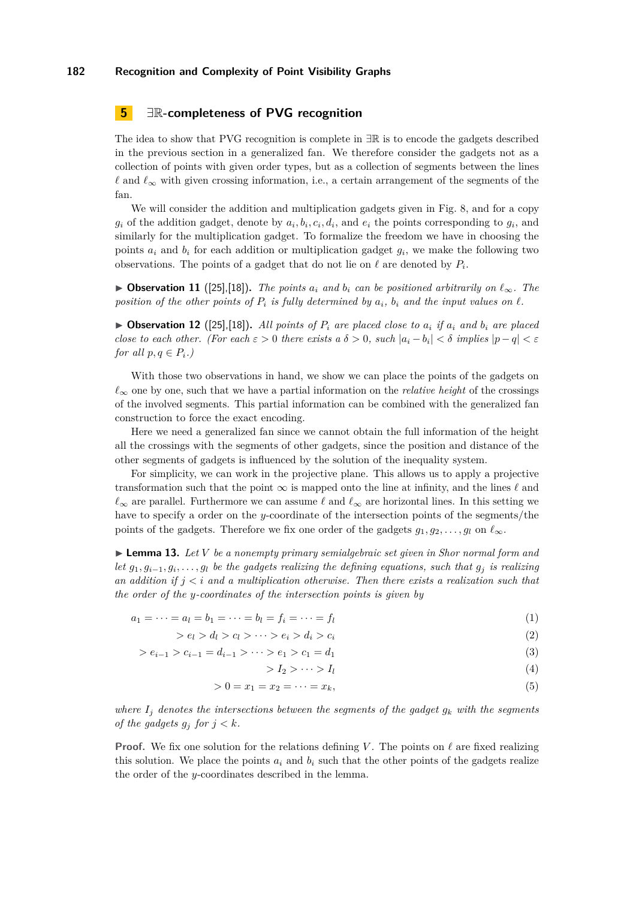# **5** ∃R**-completeness of PVG recognition**

The idea to show that PVG recognition is complete in ∃R is to encode the gadgets described in the previous section in a generalized fan. We therefore consider the gadgets not as a collection of points with given order types, but as a collection of segments between the lines  $\ell$  and  $\ell_{\infty}$  with given crossing information, i.e., a certain arrangement of the segments of the fan.

We will consider the addition and multiplication gadgets given in Fig. [8,](#page-10-0) and for a copy  $g_i$  of the addition gadget, denote by  $a_i, b_i, c_i, d_i$ , and  $e_i$  the points corresponding to  $g_i$ , and similarly for the multiplication gadget. To formalize the freedom we have in choosing the points  $a_i$  and  $b_i$  for each addition or multiplication gadget  $g_i$ , we make the following two observations. The points of a gadget that do not lie on  $\ell$  are denoted by  $P_i$ .

**► Observation 11** ([\[25\]](#page-14-22), [\[18\]](#page-14-25)). The points  $a_i$  and  $b_i$  can be positioned arbitrarily on  $\ell_{\infty}$ . The position of the other points of  $P_i$  is fully determined by  $a_i$ ,  $b_i$  and the input values on  $\ell$ .

<span id="page-11-1"></span> $\triangleright$  **Observation 12** ([\[25\]](#page-14-22), [\[18\]](#page-14-25)). All points of  $P_i$  are placed close to  $a_i$  if  $a_i$  and  $b_i$  are placed *close to each other.* (For each  $\varepsilon > 0$  there exists a  $\delta > 0$ , such  $|a_i - b_i| < \delta$  implies  $|p - q| < \varepsilon$ *for all*  $p, q \in P_i$ *.*)

With those two observations in hand, we show we can place the points of the gadgets on  $\ell_{\infty}$  one by one, such that we have a partial information on the *relative height* of the crossings of the involved segments. This partial information can be combined with the generalized fan construction to force the exact encoding.

Here we need a generalized fan since we cannot obtain the full information of the height all the crossings with the segments of other gadgets, since the position and distance of the other segments of gadgets is influenced by the solution of the inequality system.

For simplicity, we can work in the projective plane. This allows us to apply a projective transformation such that the point  $\infty$  is mapped onto the line at infinity, and the lines  $\ell$  and  $\ell_{\infty}$  are parallel. Furthermore we can assume  $\ell$  and  $\ell_{\infty}$  are horizontal lines. In this setting we have to specify a order on the *y*-coordinate of the intersection points of the segments/the points of the gadgets. Therefore we fix one order of the gadgets  $g_1, g_2, \ldots, g_l$  on  $\ell_{\infty}$ .

<span id="page-11-2"></span>I **Lemma 13.** *Let V be a nonempty primary semialgebraic set given in Shor normal form and let*  $g_1, g_{i-1}, g_i, \ldots, g_l$  *be the gadgets realizing the defining equations, such that*  $g_j$  *is realizing an addition if j < i and a multiplication otherwise. Then there exists a realization such that the order of the y-coordinates of the intersection points is given by*

<span id="page-11-0"></span>
$$
a_1 = \dots = a_l = b_1 = \dots = b_l = f_i = \dots = f_l \tag{1}
$$

 $> e_l > d_l > c_l > \cdots > e_i > d_i > c_i$  (2)

$$
> e_{i-1} > c_{i-1} = d_{i-1} > \dots > e_1 > c_1 = d_1
$$
\n
$$
(3)
$$

$$
I_2 > \cdots > I_l \tag{4}
$$

$$
0 = x_1 = x_2 = \dots = x_k,\tag{5}
$$

*where*  $I_i$  *denotes the intersections between the segments of the gadget*  $g_k$  *with the segments of the gadgets*  $g_j$  *for*  $j < k$ *.* 

**Proof.** We fix one solution for the relations defining *V*. The points on  $\ell$  are fixed realizing this solution. We place the points  $a_i$  and  $b_i$  such that the other points of the gadgets realize the order of the *y*-coordinates described in the lemma.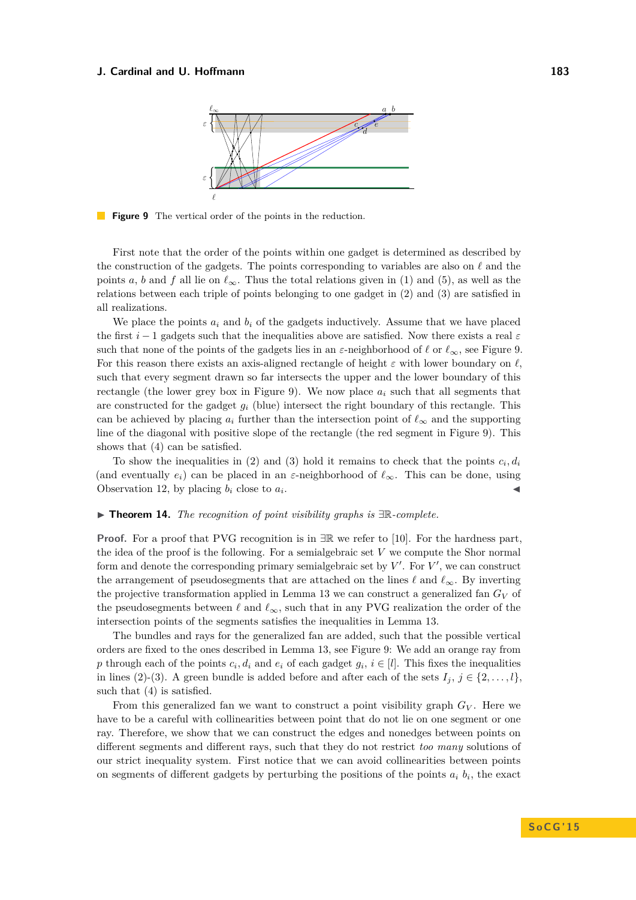<span id="page-12-0"></span>

**Figure 9** The vertical order of the points in the reduction.

First note that the order of the points within one gadget is determined as described by the construction of the gadgets. The points corresponding to variables are also on  $\ell$  and the points *a*, *b* and *f* all lie on  $\ell_{\infty}$ . Thus the total relations given in [\(1\)](#page-11-0) and [\(5\)](#page-11-0), as well as the relations between each triple of points belonging to one gadget in [\(2\)](#page-11-0) and [\(3\)](#page-11-0) are satisfied in all realizations.

We place the points  $a_i$  and  $b_i$  of the gadgets inductively. Assume that we have placed the first  $i - 1$  gadgets such that the inequalities above are satisfied. Now there exists a real  $\varepsilon$ such that none of the points of the gadgets lies in an  $\varepsilon$ -neighborhood of  $\ell$  or  $\ell_{\infty}$ , see Figure [9.](#page-12-0) For this reason there exists an axis-aligned rectangle of height  $\varepsilon$  with lower boundary on  $\ell$ , such that every segment drawn so far intersects the upper and the lower boundary of this rectangle (the lower grey box in Figure [9\)](#page-12-0). We now place  $a_i$  such that all segments that are constructed for the gadget  $g_i$  (blue) intersect the right boundary of this rectangle. This can be achieved by placing  $a_i$  further than the intersection point of  $\ell_{\infty}$  and the supporting line of the diagonal with positive slope of the rectangle (the red segment in Figure [9\)](#page-12-0). This shows that [\(4\)](#page-11-0) can be satisfied.

To show the inequalities in [\(2\)](#page-11-0) and [\(3\)](#page-11-0) hold it remains to check that the points  $c_i, d_i$ (and eventually  $e_i$ ) can be placed in an  $\varepsilon$ -neighborhood of  $\ell_{\infty}$ . This can be done, using Observation [12,](#page-11-1) by placing  $b_i$  close to  $a_i$ . . John Stein Stein Stein Stein Stein Stein Stein Stein Stein Stein Stein Stein Stein Stein Stein Stein Stein S<br>Die Stein Stein Stein Stein Stein Stein Stein Stein Stein Stein Stein Stein Stein Stein Stein Stein Stein Stei

#### I **Theorem 14.** *The recognition of point visibility graphs is* ∃R*-complete.*

**Proof.** For a proof that PVG recognition is in ∃R we refer to [\[10\]](#page-14-8). For the hardness part, the idea of the proof is the following. For a semialgebraic set *V* we compute the Shor normal form and denote the corresponding primary semialgebraic set by  $V'$ . For  $V'$ , we can construct the arrangement of pseudosegments that are attached on the lines  $\ell$  and  $\ell_{\infty}$ . By inverting the projective transformation applied in Lemma [13](#page-11-2) we can construct a generalized fan *G<sup>V</sup>* of the pseudosegments between  $\ell$  and  $\ell_{\infty}$ , such that in any PVG realization the order of the intersection points of the segments satisfies the inequalities in Lemma [13.](#page-11-2)

The bundles and rays for the generalized fan are added, such that the possible vertical orders are fixed to the ones described in Lemma [13,](#page-11-2) see Figure [9:](#page-12-0) We add an orange ray from *p* through each of the points  $c_i, d_i$  and  $e_i$  of each gadget  $g_i, i \in [l]$ . This fixes the inequalities in lines [\(2\)](#page-11-0)-[\(3\)](#page-11-0). A green bundle is added before and after each of the sets  $I_j$ ,  $j \in \{2, \ldots, l\}$ , such that [\(4\)](#page-11-0) is satisfied.

From this generalized fan we want to construct a point visibility graph  $G_V$ . Here we have to be a careful with collinearities between point that do not lie on one segment or one ray. Therefore, we show that we can construct the edges and nonedges between points on different segments and different rays, such that they do not restrict *too many* solutions of our strict inequality system. First notice that we can avoid collinearities between points on segments of different gadgets by perturbing the positions of the points  $a_i$   $b_i$ , the exact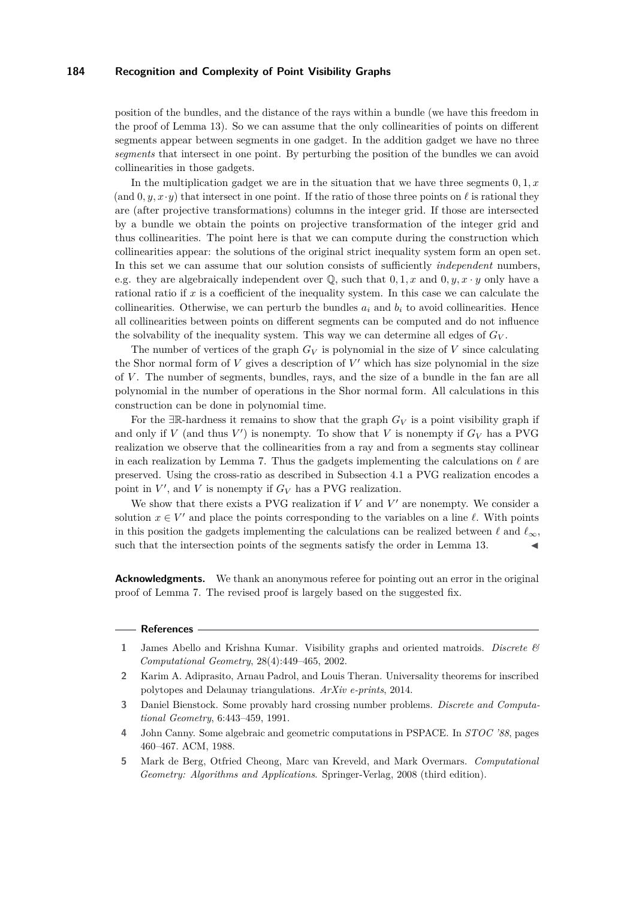position of the bundles, and the distance of the rays within a bundle (we have this freedom in the proof of Lemma [13\)](#page-11-2). So we can assume that the only collinearities of points on different segments appear between segments in one gadget. In the addition gadget we have no three *segments* that intersect in one point. By perturbing the position of the bundles we can avoid collinearities in those gadgets.

In the multiplication gadget we are in the situation that we have three segments 0*,* 1*, x* (and 0, y, x·y) that intersect in one point. If the ratio of those three points on  $\ell$  is rational they are (after projective transformations) columns in the integer grid. If those are intersected by a bundle we obtain the points on projective transformation of the integer grid and thus collinearities. The point here is that we can compute during the construction which collinearities appear: the solutions of the original strict inequality system form an open set. In this set we can assume that our solution consists of sufficiently *independent* numbers, e.g. they are algebraically independent over  $\mathbb{Q}$ , such that  $0, 1, x$  and  $0, y, x \cdot y$  only have a rational ratio if *x* is a coefficient of the inequality system. In this case we can calculate the collinearities. Otherwise, we can perturb the bundles  $a_i$  and  $b_i$  to avoid collinearities. Hence all collinearities between points on different segments can be computed and do not influence the solvability of the inequality system. This way we can determine all edges of  $G_V$ .

The number of vertices of the graph  $G_V$  is polynomial in the size of  $V$  since calculating the Shor normal form of  $V$  gives a description of  $V'$  which has size polynomial in the size of *V* . The number of segments, bundles, rays, and the size of a bundle in the fan are all polynomial in the number of operations in the Shor normal form. All calculations in this construction can be done in polynomial time.

For the ∃R-hardness it remains to show that the graph *G<sup>V</sup>* is a point visibility graph if and only if  $V$  (and thus  $V'$ ) is nonempty. To show that  $V$  is nonempty if  $G_V$  has a PVG realization we observe that the collinearities from a ray and from a segments stay collinear in each realization by Lemma [7.](#page-5-1) Thus the gadgets implementing the calculations on  $\ell$  are preserved. Using the cross-ratio as described in Subsection [4.1](#page-9-1) a PVG realization encodes a point in  $V'$ , and  $V$  is nonempty if  $G_V$  has a PVG realization.

We show that there exists a PVG realization if  $V$  and  $V'$  are nonempty. We consider a solution  $x \in V'$  and place the points corresponding to the variables on a line  $\ell$ . With points in this position the gadgets implementing the calculations can be realized between  $\ell$  and  $\ell_{\infty}$ , such that the intersection points of the segments satisfy the order in Lemma [13.](#page-11-2)

**Acknowledgments.** We thank an anonymous referee for pointing out an error in the original proof of Lemma [7.](#page-5-1) The revised proof is largely based on the suggested fix.

#### **References**

- <span id="page-13-2"></span>**1** James Abello and Krishna Kumar. Visibility graphs and oriented matroids. *Discrete & Computational Geometry*, 28(4):449–465, 2002.
- <span id="page-13-4"></span>**2** Karim A. Adiprasito, Arnau Padrol, and Louis Theran. Universality theorems for inscribed polytopes and Delaunay triangulations. *ArXiv e-prints*, 2014.
- <span id="page-13-3"></span>**3** Daniel Bienstock. Some provably hard crossing number problems. *Discrete and Computational Geometry*, 6:443–459, 1991.
- <span id="page-13-1"></span>**4** John Canny. Some algebraic and geometric computations in PSPACE. In *STOC '88*, pages 460–467. ACM, 1988.
- <span id="page-13-0"></span>**5** Mark de Berg, Otfried Cheong, Marc van Kreveld, and Mark Overmars. *Computational Geometry: Algorithms and Applications*. Springer-Verlag, 2008 (third edition).